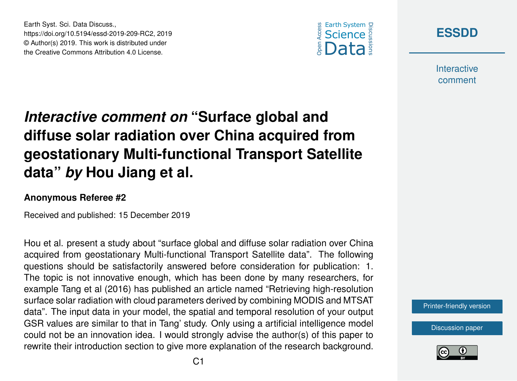



**Interactive** comment

## *Interactive comment on* **"Surface global and diffuse solar radiation over China acquired from geostationary Multi-functional Transport Satellite data"** *by* **Hou Jiang et al.**

## **Anonymous Referee #2**

Earth Syst. Sci. Data Discuss.,

https://doi.org/10.5194/essd-2019-209-RC2, 2019 © Author(s) 2019. This work is distributed under the Creative Commons Attribution 4.0 License.

Received and published: 15 December 2019

Hou et al. present a study about "surface global and diffuse solar radiation over China acquired from geostationary Multi-functional Transport Satellite data". The following questions should be satisfactorily answered before consideration for publication: 1. The topic is not innovative enough, which has been done by many researchers, for example Tang et al (2016) has published an article named "Retrieving high-resolution surface solar radiation with cloud parameters derived by combining MODIS and MTSAT data". The input data in your model, the spatial and temporal resolution of your output GSR values are similar to that in Tang' study. Only using a artificial intelligence model could not be an innovation idea. I would strongly advise the author(s) of this paper to rewrite their introduction section to give more explanation of the research background.

[Printer-friendly version](https://www.earth-syst-sci-data-discuss.net/essd-2019-209/essd-2019-209-RC2-print.pdf)

[Discussion paper](https://www.earth-syst-sci-data-discuss.net/essd-2019-209)

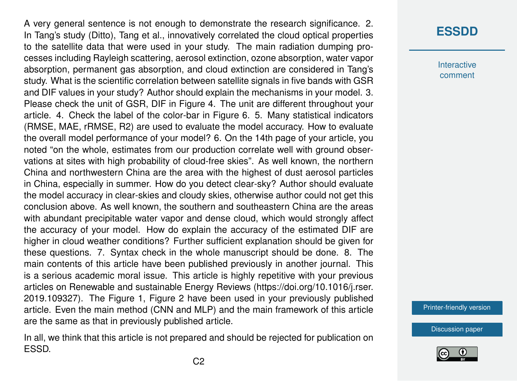A very general sentence is not enough to demonstrate the research significance. 2. In Tang's study (Ditto), Tang et al., innovatively correlated the cloud optical properties to the satellite data that were used in your study. The main radiation dumping processes including Rayleigh scattering, aerosol extinction, ozone absorption, water vapor absorption, permanent gas absorption, and cloud extinction are considered in Tang's study. What is the scientific correlation between satellite signals in five bands with GSR and DIF values in your study? Author should explain the mechanisms in your model. 3. Please check the unit of GSR, DIF in Figure 4. The unit are different throughout your article. 4. Check the label of the color-bar in Figure 6. 5. Many statistical indicators (RMSE, MAE, rRMSE, R2) are used to evaluate the model accuracy. How to evaluate the overall model performance of your model? 6. On the 14th page of your article, you noted "on the whole, estimates from our production correlate well with ground observations at sites with high probability of cloud-free skies". As well known, the northern China and northwestern China are the area with the highest of dust aerosol particles in China, especially in summer. How do you detect clear-sky? Author should evaluate the model accuracy in clear-skies and cloudy skies, otherwise author could not get this conclusion above. As well known, the southern and southeastern China are the areas with abundant precipitable water vapor and dense cloud, which would strongly affect the accuracy of your model. How do explain the accuracy of the estimated DIF are higher in cloud weather conditions? Further sufficient explanation should be given for these questions. 7. Syntax check in the whole manuscript should be done. 8. The main contents of this article have been published previously in another journal. This is a serious academic moral issue. This article is highly repetitive with your previous articles on Renewable and sustainable Energy Reviews (https://doi.org/10.1016/j.rser. 2019.109327). The Figure 1, Figure 2 have been used in your previously published article. Even the main method (CNN and MLP) and the main framework of this article are the same as that in previously published article.

In all, we think that this article is not prepared and should be rejected for publication on ESSD.

## **[ESSDD](https://www.earth-syst-sci-data-discuss.net/)**

Interactive comment

[Printer-friendly version](https://www.earth-syst-sci-data-discuss.net/essd-2019-209/essd-2019-209-RC2-print.pdf)

[Discussion paper](https://www.earth-syst-sci-data-discuss.net/essd-2019-209)